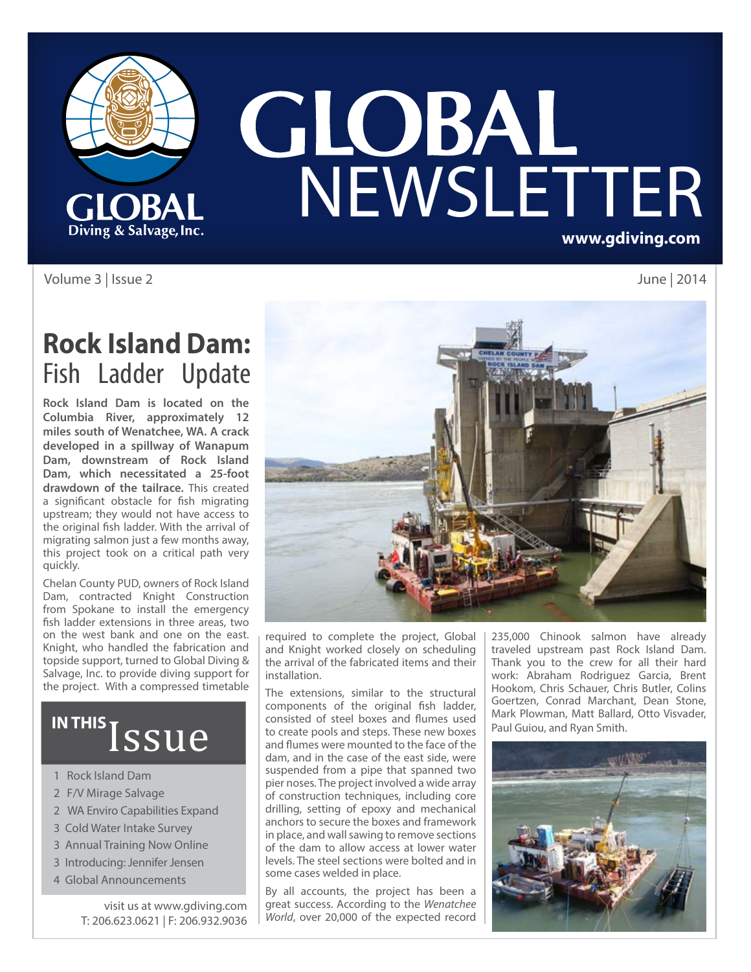

# **GLOBAL**<br>NEWSLETTER **www.gdiving.com**

Volume 3 | Issue 2 June | 2014

## **Rock Island Dam:**  Fish Ladder Update

**Rock Island Dam is located on the Columbia River, approximately 12 miles south of Wenatchee, WA. A crack developed in a spillway of Wanapum Dam, downstream of Rock Island Dam, which necessitated a 25-foot drawdown of the tailrace.** This created a significant obstacle for fish migrating upstream; they would not have access to the original fish ladder. With the arrival of migrating salmon just a few months away, this project took on a critical path very quickly.

Chelan County PUD, owners of Rock Island Dam, contracted Knight Construction from Spokane to install the emergency fish ladder extensions in three areas, two on the west bank and one on the east. Knight, who handled the fabrication and topside support, turned to Global Diving & Salvage, Inc. to provide diving support for the project. With a compressed timetable

# IN THIS *SSUE*

- 1 Rock Island Dam
- 2 F/V Mirage Salvage
- 2 WA Enviro Capabilities Expand
- 3 Cold Water Intake Survey
- 3 Annual Training Now Online
- 3 Introducing: Jennifer Jensen
- 4 Global Announcements

visit us at www.gdiving.com T: 206.623.0621 | F: 206.932.9036



required to complete the project, Global and Knight worked closely on scheduling the arrival of the fabricated items and their installation.

The extensions, similar to the structural components of the original fish ladder, consisted of steel boxes and flumes used to create pools and steps. These new boxes and flumes were mounted to the face of the dam, and in the case of the east side, were suspended from a pipe that spanned two pier noses. The project involved a wide array of construction techniques, including core drilling, setting of epoxy and mechanical anchors to secure the boxes and framework in place, and wall sawing to remove sections of the dam to allow access at lower water levels. The steel sections were bolted and in some cases welded in place.

By all accounts, the project has been a great success. According to the *Wenatchee World*, over 20,000 of the expected record 235,000 Chinook salmon have already traveled upstream past Rock Island Dam. Thank you to the crew for all their hard work: Abraham Rodriguez Garcia, Brent Hookom, Chris Schauer, Chris Butler, Colins Goertzen, Conrad Marchant, Dean Stone, Mark Plowman, Matt Ballard, Otto Visvader, Paul Guiou, and Ryan Smith.

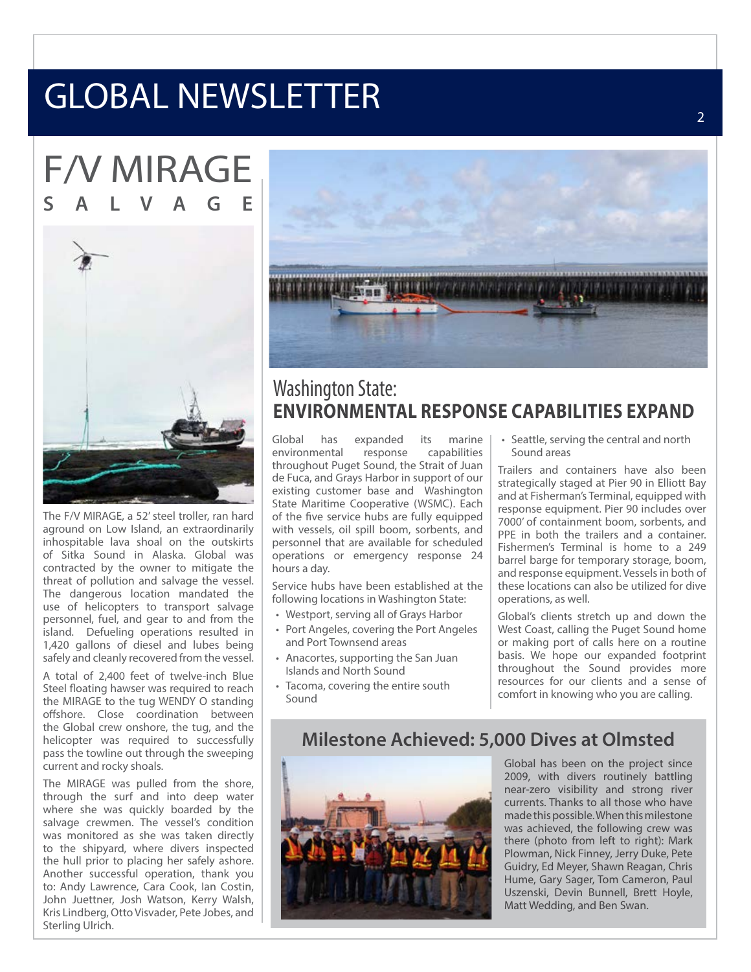# GLOBAL NEWSLETTER

F/V MIRAGE **SALVAGE**



The F/V MIRAGE, a 52' steel troller, ran hard aground on Low Island, an extraordinarily inhospitable lava shoal on the outskirts of Sitka Sound in Alaska. Global was contracted by the owner to mitigate the threat of pollution and salvage the vessel. The dangerous location mandated the use of helicopters to transport salvage personnel, fuel, and gear to and from the island. Defueling operations resulted in 1,420 gallons of diesel and lubes being safely and cleanly recovered from the vessel.

A total of 2,400 feet of twelve-inch Blue Steel floating hawser was required to reach the MIRAGE to the tug WENDY O standing offshore. Close coordination between the Global crew onshore, the tug, and the helicopter was required to successfully pass the towline out through the sweeping current and rocky shoals.

The MIRAGE was pulled from the shore, through the surf and into deep water where she was quickly boarded by the salvage crewmen. The vessel's condition was monitored as she was taken directly to the shipyard, where divers inspected the hull prior to placing her safely ashore. Another successful operation, thank you to: Andy Lawrence, Cara Cook, Ian Costin, John Juettner, Josh Watson, Kerry Walsh, Kris Lindberg, Otto Visvader, Pete Jobes, and Sterling Ulrich.



#### Washington State: **ENVIRONMENTAL RESPONSE CAPABILITIES EXPAND**

Global has expanded its marine<br>environmental response capabilities environmental throughout Puget Sound, the Strait of Juan de Fuca, and Grays Harbor in support of our existing customer base and Washington State Maritime Cooperative (WSMC). Each of the five service hubs are fully equipped with vessels, oil spill boom, sorbents, and personnel that are available for scheduled operations or emergency response 24 hours a day.

Service hubs have been established at the following locations in Washington State:

- Westport, serving all of Grays Harbor
- Port Angeles, covering the Port Angeles and Port Townsend areas
- Anacortes, supporting the San Juan Islands and North Sound
- Tacoma, covering the entire south Sound

• Seattle, serving the central and north Sound areas

Trailers and containers have also been strategically staged at Pier 90 in Elliott Bay and at Fisherman's Terminal, equipped with response equipment. Pier 90 includes over 7000' of containment boom, sorbents, and PPE in both the trailers and a container. Fishermen's Terminal is home to a 249 barrel barge for temporary storage, boom, and response equipment. Vessels in both of these locations can also be utilized for dive operations, as well.

Global's clients stretch up and down the West Coast, calling the Puget Sound home or making port of calls here on a routine basis. We hope our expanded footprint throughout the Sound provides more resources for our clients and a sense of comfort in knowing who you are calling.

#### **Milestone Achieved: 5,000 Dives at Olmsted**



Global has been on the project since 2009, with divers routinely battling near-zero visibility and strong river currents. Thanks to all those who have made this possible. When this milestone was achieved, the following crew was there (photo from left to right): Mark Plowman, Nick Finney, Jerry Duke, Pete Guidry, Ed Meyer, Shawn Reagan, Chris Hume, Gary Sager, Tom Cameron, Paul Uszenski, Devin Bunnell, Brett Hoyle, Matt Wedding, and Ben Swan.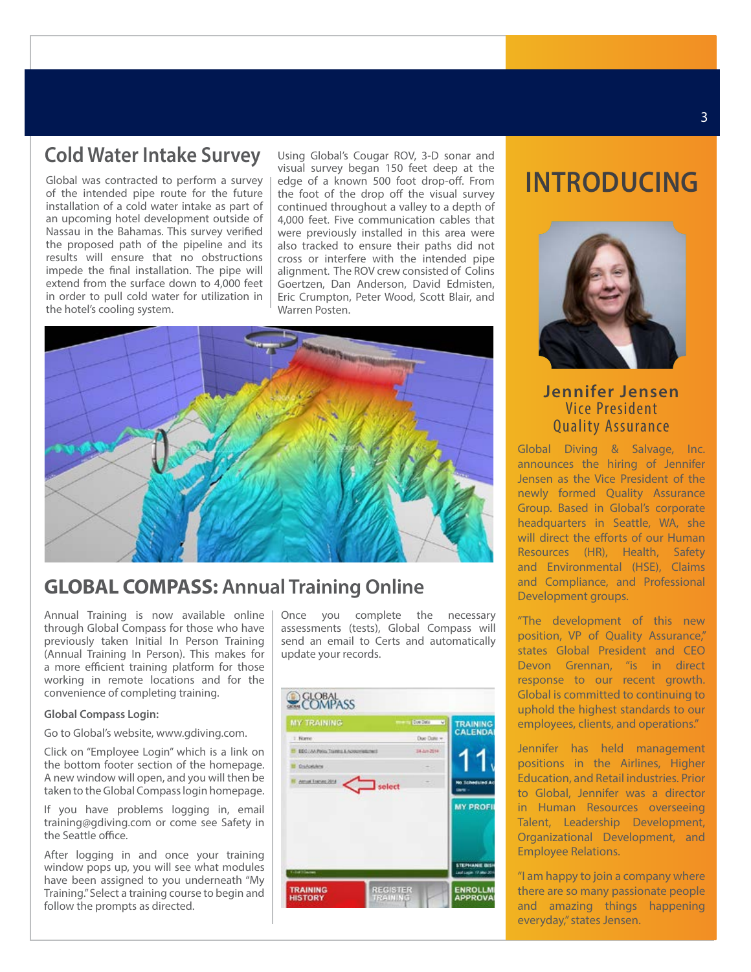#### **Cold Water Intake Survey**

Global was contracted to perform a survey of the intended pipe route for the future installation of a cold water intake as part of an upcoming hotel development outside of Nassau in the Bahamas. This survey verified the proposed path of the pipeline and its results will ensure that no obstructions impede the final installation. The pipe will extend from the surface down to 4,000 feet in order to pull cold water for utilization in the hotel's cooling system.

Using Global's Cougar ROV, 3-D sonar and visual survey began 150 feet deep at the edge of a known 500 foot drop-off. From the foot of the drop off the visual survey continued throughout a valley to a depth of 4,000 feet. Five communication cables that were previously installed in this area were also tracked to ensure their paths did not cross or interfere with the intended pipe alignment. The ROV crew consisted of Colins Goertzen, Dan Anderson, David Edmisten, Eric Crumpton, Peter Wood, Scott Blair, and Warren Posten.



#### **GLOBAL COMPASS: Annual Training Online**

Annual Training is now available online through Global Compass for those who have previously taken Initial In Person Training (Annual Training In Person). This makes for a more efficient training platform for those working in remote locations and for the convenience of completing training.

#### **Global Compass Login:**

Go to Global's website, www.gdiving.com.

Click on "Employee Login" which is a link on the bottom footer section of the homepage. A new window will open, and you will then be taken to the Global Compass login homepage.

If you have problems logging in, email training@gdiving.com or come see Safety in the Seattle office.

After logging in and once your training window pops up, you will see what modules have been assigned to you underneath "My Training." Select a training course to begin and follow the prompts as directed.

Once you complete the necessary assessments (tests), Global Compass will send an email to Certs and automatically update your records.

| <b>MY TRAINING</b>                       | Doe Date<br>w<br>$-$ | <b>TRAINING</b>                                 |
|------------------------------------------|----------------------|-------------------------------------------------|
| 7 Name                                   | Due Date v           | <b>CALENDA!</b>                                 |
| EEO/AV/Palos Transita & Acopimistures !! | 34-5/6-2014          |                                                 |
| <b>Ost-centers</b>                       |                      |                                                 |
| Annual Transvs 2014                      | $\Box$ select        | No ficheduled Ac<br><b>Chris</b>                |
|                                          |                      | <b>MY PROFIL</b>                                |
|                                          |                      |                                                 |
| <b>Glatificane</b>                       |                      | <b>STEPHANIE BISH</b><br>Last Login 17 Mar 2011 |

### **INTRODUCING**



#### **Jennifer Jensen** Vice President Quality Assurance

Global Diving & Salvage, Inc. announces the hiring of Jennifer Jensen as the Vice President of the newly formed Quality Assurance Group. Based in Global's corporate headquarters in Seattle, WA, she will direct the efforts of our Human Resources (HR), Health, Safety and Environmental (HSE), Claims and Compliance, and Professional Development groups.

"The development of this new position, VP of Quality Assurance," states Global President and CEO Devon Grennan, "is in direct response to our recent growth. Global is committed to continuing to uphold the highest standards to our employees, clients, and operations."

Jennifer has held management positions in the Airlines, Higher Education, and Retail industries. Prior to Global, Jennifer was a director in Human Resources overseeing Talent, Leadership Development, Organizational Development, and Employee Relations.

"I am happy to join a company where there are so many passionate people and amazing things happening everyday," states Jensen.